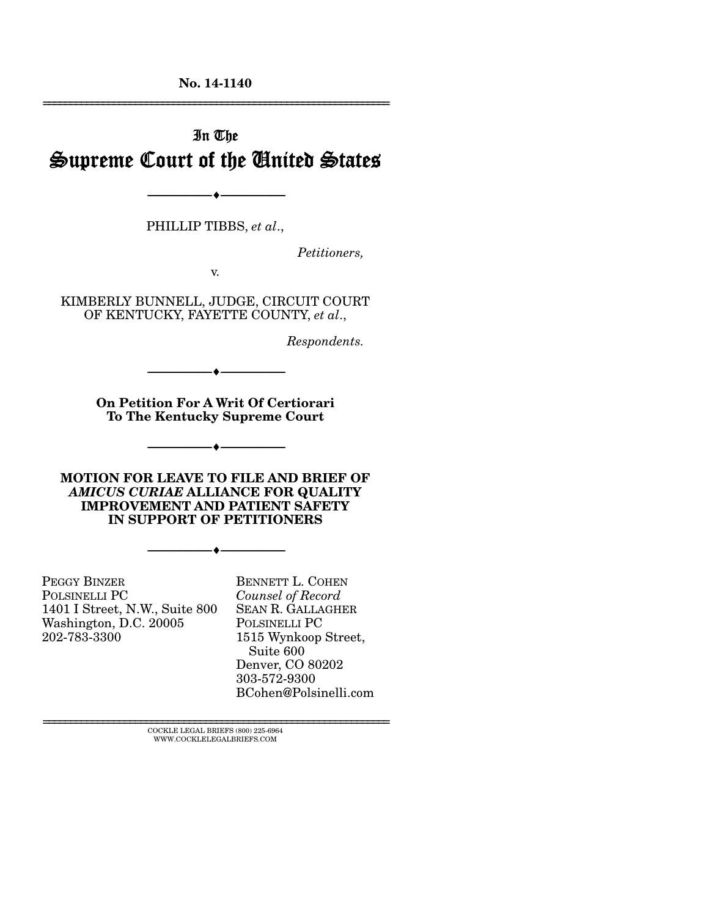**No. 14-1140**  ================================================================

# In The Supreme Court of the United States

--------------------------------- i ---------------------------------

PHILLIP TIBBS, *et al*.,

*Petitioners,* 

v.

KIMBERLY BUNNELL, JUDGE, CIRCUIT COURT OF KENTUCKY, FAYETTE COUNTY, *et al*.,

*Respondents.* 

**On Petition For A Writ Of Certiorari To The Kentucky Supreme Court** 

--------------------------------- i ---------------------------------

--------------------------------- i ---------------------------------

**MOTION FOR LEAVE TO FILE AND BRIEF OF**  *AMICUS CURIAE* **ALLIANCE FOR QUALITY IMPROVEMENT AND PATIENT SAFETY IN SUPPORT OF PETITIONERS** 

 $\bullet$  -

PEGGY BINZER POLSINELLI PC 1401 I Street, N.W., Suite 800 Washington, D.C. 20005 202-783-3300

BENNETT L. COHEN *Counsel of Record*  SEAN R. GALLAGHER POLSINELLI PC 1515 Wynkoop Street, Suite 600 Denver, CO 80202 303-572-9300 BCohen@Polsinelli.com

 $\textsc{COCKLE}$  LEGAL BRIEFS (800) 225-6964 WWW.COCKLELEGALBRIEFS.COM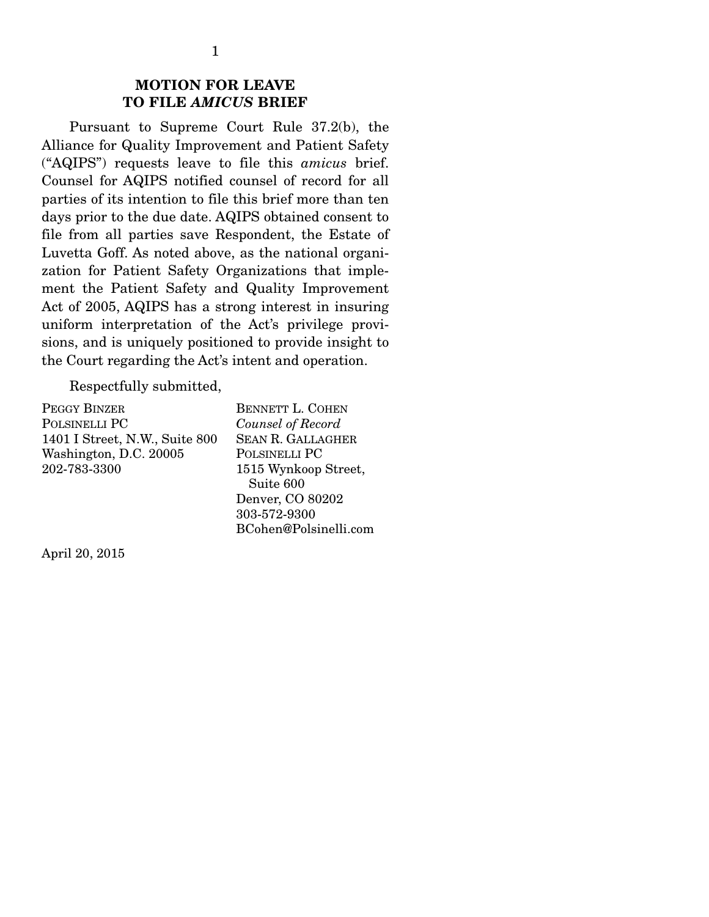### **MOTION FOR LEAVE TO FILE** *AMICUS* **BRIEF**

 Pursuant to Supreme Court Rule 37.2(b), the Alliance for Quality Improvement and Patient Safety ("AQIPS") requests leave to file this *amicus* brief. Counsel for AQIPS notified counsel of record for all parties of its intention to file this brief more than ten days prior to the due date. AQIPS obtained consent to file from all parties save Respondent, the Estate of Luvetta Goff. As noted above, as the national organization for Patient Safety Organizations that implement the Patient Safety and Quality Improvement Act of 2005, AQIPS has a strong interest in insuring uniform interpretation of the Act's privilege provisions, and is uniquely positioned to provide insight to the Court regarding the Act's intent and operation.

Respectfully submitted,

PEGGY BINZER POLSINELLI PC 1401 I Street, N.W., Suite 800 Washington, D.C. 20005 202-783-3300

BENNETT L. COHEN *Counsel of Record*  SEAN R. GALLAGHER POLSINELLI PC 1515 Wynkoop Street, Suite 600 Denver, CO 80202 303-572-9300 BCohen@Polsinelli.com

April 20, 2015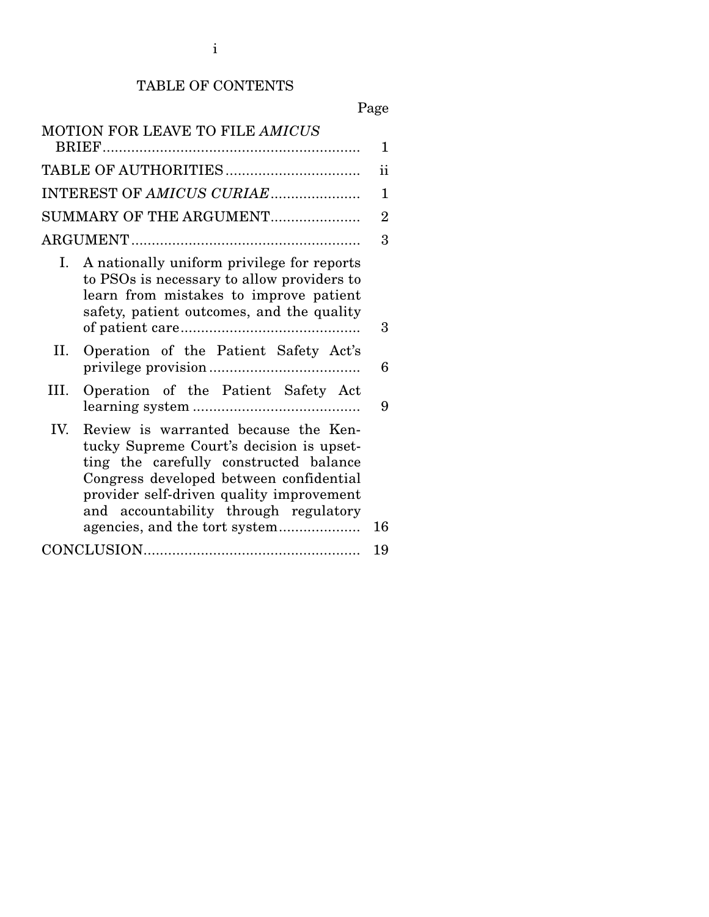# TABLE OF CONTENTS

# Page

| MOTION FOR LEAVE TO FILE AMICUS                                                                                                                                                                                                                                   | 1  |  |
|-------------------------------------------------------------------------------------------------------------------------------------------------------------------------------------------------------------------------------------------------------------------|----|--|
|                                                                                                                                                                                                                                                                   | ii |  |
| INTEREST OF AMICUS CURIAE                                                                                                                                                                                                                                         |    |  |
| SUMMARY OF THE ARGUMENT                                                                                                                                                                                                                                           |    |  |
|                                                                                                                                                                                                                                                                   | 3  |  |
| I. A nationally uniform privilege for reports<br>to PSOs is necessary to allow providers to<br>learn from mistakes to improve patient<br>safety, patient outcomes, and the quality                                                                                | 3  |  |
| Operation of the Patient Safety Act's<br>II.                                                                                                                                                                                                                      | 6  |  |
| Operation of the Patient Safety Act<br>III.                                                                                                                                                                                                                       | 9  |  |
| IV.<br>Review is warranted because the Ken-<br>tucky Supreme Court's decision is upset-<br>ting the carefully constructed balance<br>Congress developed between confidential<br>provider self-driven quality improvement<br>and accountability through regulatory | 16 |  |
|                                                                                                                                                                                                                                                                   | 19 |  |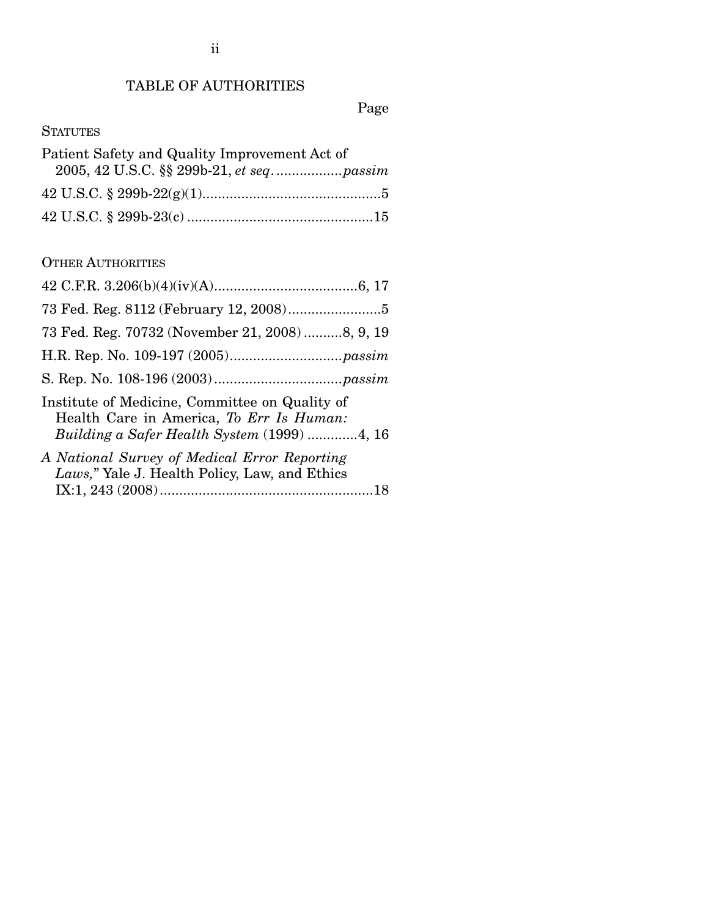## TABLE OF AUTHORITIES

Page

## **STATUTES**

| Patient Safety and Quality Improvement Act of |  |  |
|-----------------------------------------------|--|--|
|                                               |  |  |
|                                               |  |  |
|                                               |  |  |

### OTHER AUTHORITIES

| 73 Fed. Reg. 70732 (November 21, 2008) 8, 9, 19                                                                                           |
|-------------------------------------------------------------------------------------------------------------------------------------------|
|                                                                                                                                           |
|                                                                                                                                           |
| Institute of Medicine, Committee on Quality of<br>Health Care in America, To Err Is Human:<br>Building a Safer Health System (1999) 4, 16 |
| A National Survey of Medical Error Reporting<br>Laws," Yale J. Health Policy, Law, and Ethics                                             |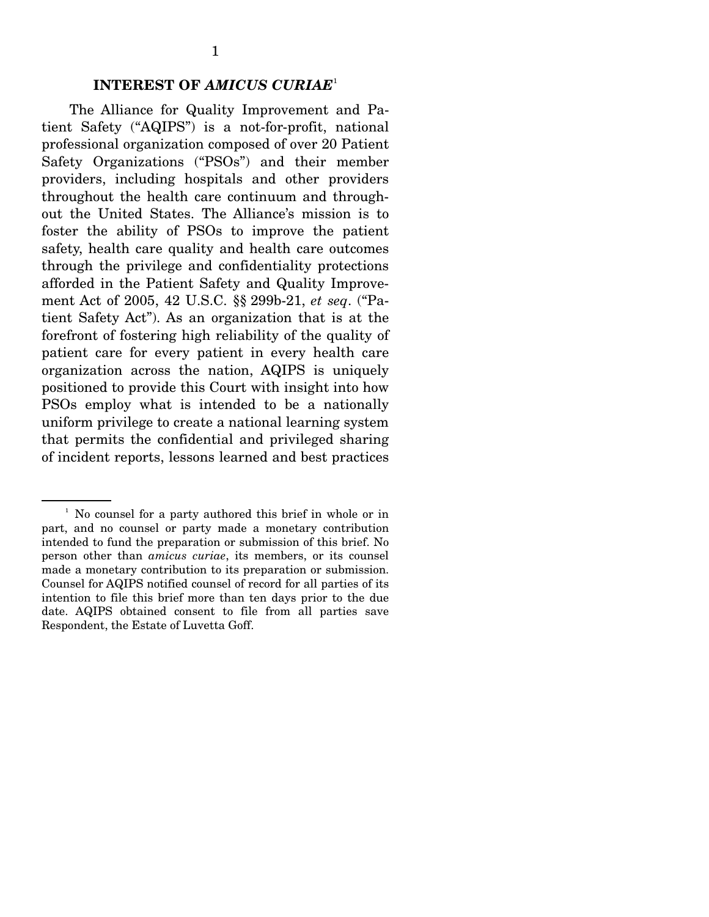### **INTEREST OF** *AMICUS CURIAE*<sup>1</sup>

 The Alliance for Quality Improvement and Patient Safety ("AQIPS") is a not-for-profit, national professional organization composed of over 20 Patient Safety Organizations ("PSOs") and their member providers, including hospitals and other providers throughout the health care continuum and throughout the United States. The Alliance's mission is to foster the ability of PSOs to improve the patient safety, health care quality and health care outcomes through the privilege and confidentiality protections afforded in the Patient Safety and Quality Improvement Act of 2005, 42 U.S.C. §§ 299b-21, *et seq*. ("Patient Safety Act"). As an organization that is at the forefront of fostering high reliability of the quality of patient care for every patient in every health care organization across the nation, AQIPS is uniquely positioned to provide this Court with insight into how PSOs employ what is intended to be a nationally uniform privilege to create a national learning system that permits the confidential and privileged sharing of incident reports, lessons learned and best practices

<sup>&</sup>lt;sup>1</sup> No counsel for a party authored this brief in whole or in part, and no counsel or party made a monetary contribution intended to fund the preparation or submission of this brief. No person other than *amicus curiae*, its members, or its counsel made a monetary contribution to its preparation or submission. Counsel for AQIPS notified counsel of record for all parties of its intention to file this brief more than ten days prior to the due date. AQIPS obtained consent to file from all parties save Respondent, the Estate of Luvetta Goff.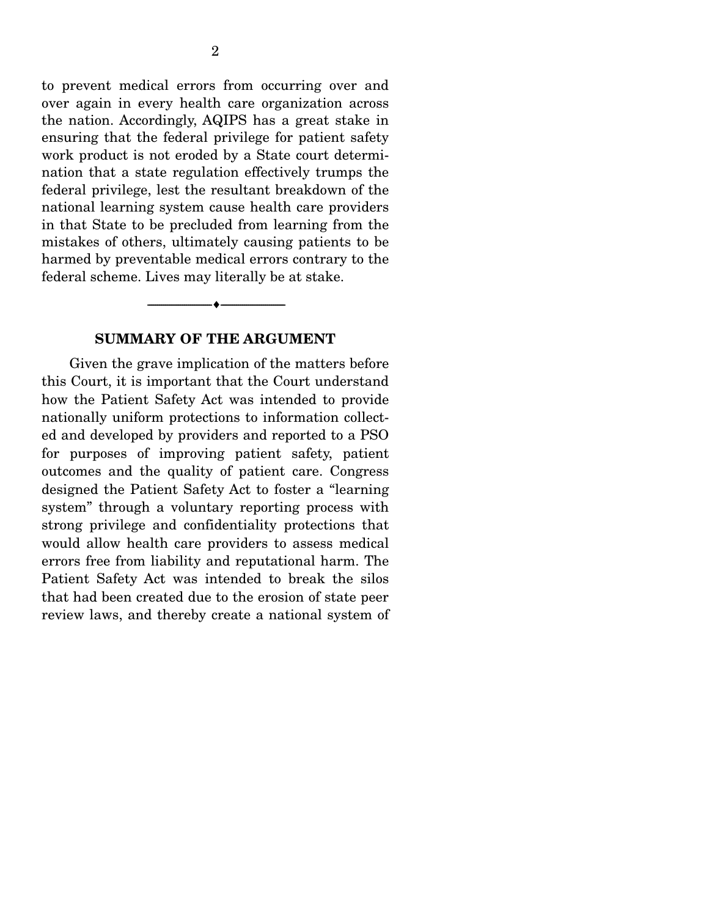to prevent medical errors from occurring over and over again in every health care organization across the nation. Accordingly, AQIPS has a great stake in ensuring that the federal privilege for patient safety work product is not eroded by a State court determination that a state regulation effectively trumps the federal privilege, lest the resultant breakdown of the national learning system cause health care providers in that State to be precluded from learning from the mistakes of others, ultimately causing patients to be harmed by preventable medical errors contrary to the federal scheme. Lives may literally be at stake.

#### **SUMMARY OF THE ARGUMENT**

--------------------------------- i ---------------------------------

 Given the grave implication of the matters before this Court, it is important that the Court understand how the Patient Safety Act was intended to provide nationally uniform protections to information collected and developed by providers and reported to a PSO for purposes of improving patient safety, patient outcomes and the quality of patient care. Congress designed the Patient Safety Act to foster a "learning system" through a voluntary reporting process with strong privilege and confidentiality protections that would allow health care providers to assess medical errors free from liability and reputational harm. The Patient Safety Act was intended to break the silos that had been created due to the erosion of state peer review laws, and thereby create a national system of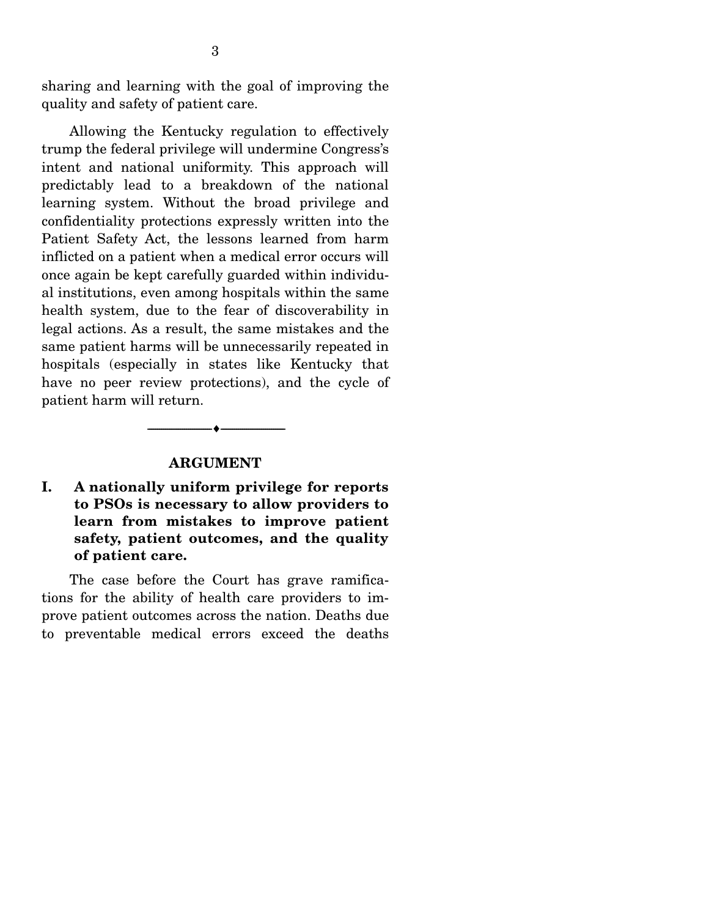sharing and learning with the goal of improving the quality and safety of patient care.

 Allowing the Kentucky regulation to effectively trump the federal privilege will undermine Congress's intent and national uniformity. This approach will predictably lead to a breakdown of the national learning system. Without the broad privilege and confidentiality protections expressly written into the Patient Safety Act, the lessons learned from harm inflicted on a patient when a medical error occurs will once again be kept carefully guarded within individual institutions, even among hospitals within the same health system, due to the fear of discoverability in legal actions. As a result, the same mistakes and the same patient harms will be unnecessarily repeated in hospitals (especially in states like Kentucky that have no peer review protections), and the cycle of patient harm will return.

#### **ARGUMENT**

--------------------------------- i ---------------------------------

**I. A nationally uniform privilege for reports to PSOs is necessary to allow providers to learn from mistakes to improve patient safety, patient outcomes, and the quality of patient care.** 

 The case before the Court has grave ramifications for the ability of health care providers to improve patient outcomes across the nation. Deaths due to preventable medical errors exceed the deaths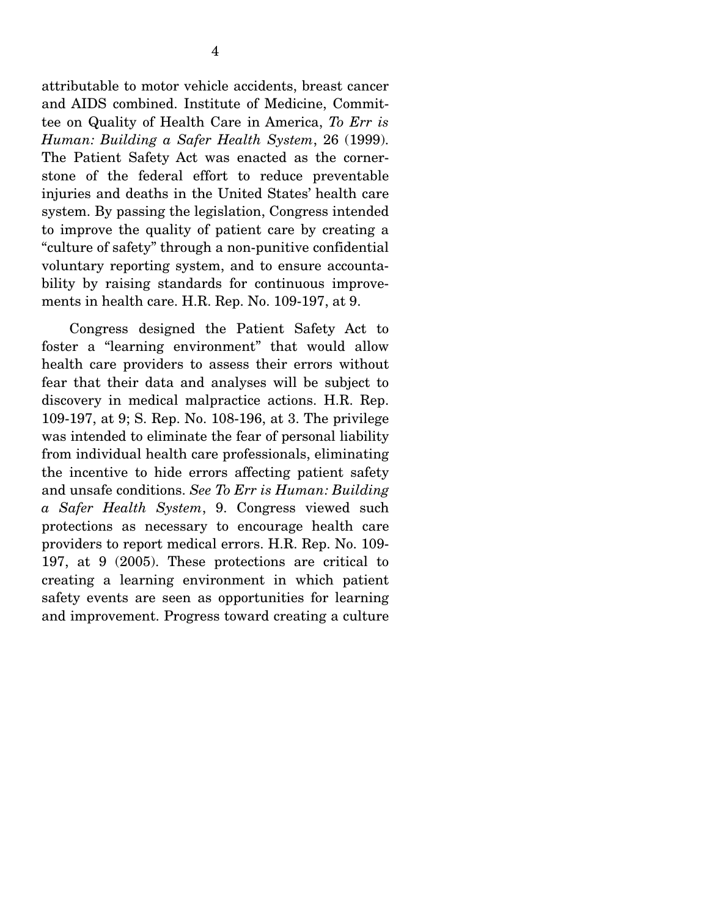attributable to motor vehicle accidents, breast cancer and AIDS combined. Institute of Medicine, Committee on Quality of Health Care in America, *To Err is Human: Building a Safer Health System*, 26 (1999). The Patient Safety Act was enacted as the cornerstone of the federal effort to reduce preventable injuries and deaths in the United States' health care system. By passing the legislation, Congress intended to improve the quality of patient care by creating a "culture of safety" through a non-punitive confidential voluntary reporting system, and to ensure accountability by raising standards for continuous improvements in health care. H.R. Rep. No. 109-197, at 9.

 Congress designed the Patient Safety Act to foster a "learning environment" that would allow health care providers to assess their errors without fear that their data and analyses will be subject to discovery in medical malpractice actions. H.R. Rep. 109-197, at 9; S. Rep. No. 108-196, at 3. The privilege was intended to eliminate the fear of personal liability from individual health care professionals, eliminating the incentive to hide errors affecting patient safety and unsafe conditions. *See To Err is Human: Building a Safer Health System*, 9. Congress viewed such protections as necessary to encourage health care providers to report medical errors. H.R. Rep. No. 109- 197, at 9 (2005). These protections are critical to creating a learning environment in which patient safety events are seen as opportunities for learning and improvement. Progress toward creating a culture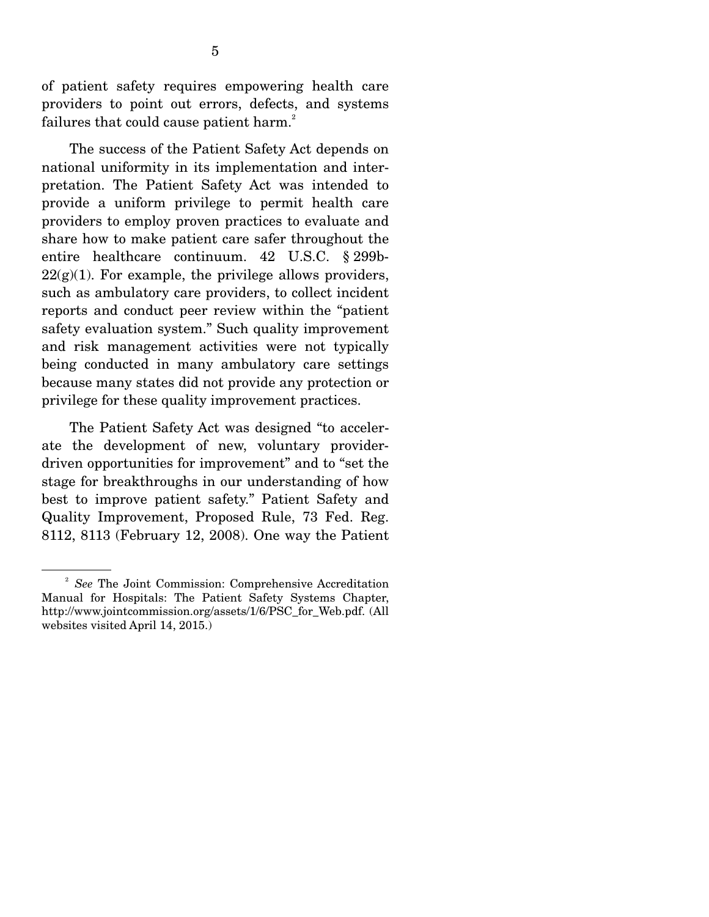of patient safety requires empowering health care providers to point out errors, defects, and systems failures that could cause patient harm.<sup>2</sup>

 The success of the Patient Safety Act depends on national uniformity in its implementation and interpretation. The Patient Safety Act was intended to provide a uniform privilege to permit health care providers to employ proven practices to evaluate and share how to make patient care safer throughout the entire healthcare continuum. 42 U.S.C. § 299b- $22(g)(1)$ . For example, the privilege allows providers, such as ambulatory care providers, to collect incident reports and conduct peer review within the "patient safety evaluation system." Such quality improvement and risk management activities were not typically being conducted in many ambulatory care settings because many states did not provide any protection or privilege for these quality improvement practices.

 The Patient Safety Act was designed "to accelerate the development of new, voluntary providerdriven opportunities for improvement" and to "set the stage for breakthroughs in our understanding of how best to improve patient safety." Patient Safety and Quality Improvement, Proposed Rule, 73 Fed. Reg. 8112, 8113 (February 12, 2008). One way the Patient

<sup>2</sup> *See* The Joint Commission: Comprehensive Accreditation Manual for Hospitals: The Patient Safety Systems Chapter, http://www.jointcommission.org/assets/1/6/PSC\_for\_Web.pdf. (All websites visited April 14, 2015.)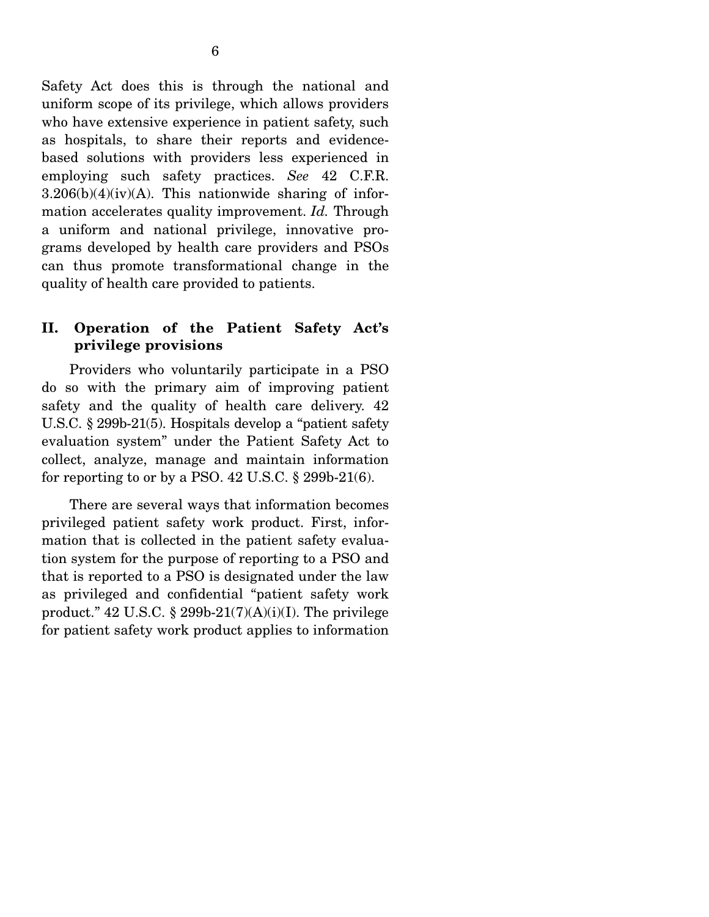Safety Act does this is through the national and uniform scope of its privilege, which allows providers who have extensive experience in patient safety, such as hospitals, to share their reports and evidencebased solutions with providers less experienced in employing such safety practices. *See* 42 C.F.R.  $3.206(b)(4)(iv)(A)$ . This nationwide sharing of information accelerates quality improvement. *Id.* Through a uniform and national privilege, innovative programs developed by health care providers and PSOs can thus promote transformational change in the quality of health care provided to patients.

#### **II. Operation of the Patient Safety Act's privilege provisions**

 Providers who voluntarily participate in a PSO do so with the primary aim of improving patient safety and the quality of health care delivery. 42 U.S.C. § 299b-21(5). Hospitals develop a "patient safety evaluation system" under the Patient Safety Act to collect, analyze, manage and maintain information for reporting to or by a PSO.  $42$  U.S.C.  $\S$  299b-21(6).

 There are several ways that information becomes privileged patient safety work product. First, information that is collected in the patient safety evaluation system for the purpose of reporting to a PSO and that is reported to a PSO is designated under the law as privileged and confidential "patient safety work product."  $42 \text{ U.S.C. }$ § 299b-21(7)(A)(i)(I). The privilege for patient safety work product applies to information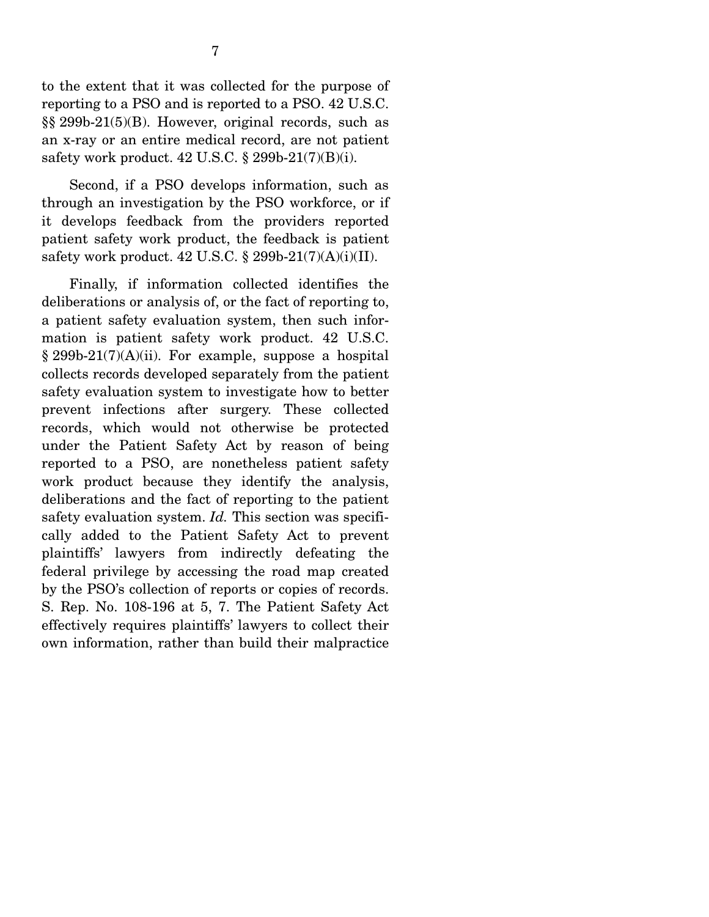to the extent that it was collected for the purpose of reporting to a PSO and is reported to a PSO. 42 U.S.C. §§ 299b-21(5)(B). However, original records, such as an x-ray or an entire medical record, are not patient safety work product. 42 U.S.C. § 299b-21(7)(B)(i).

 Second, if a PSO develops information, such as through an investigation by the PSO workforce, or if it develops feedback from the providers reported patient safety work product, the feedback is patient safety work product. 42 U.S.C. § 299b-21(7)(A)(i)(II).

 Finally, if information collected identifies the deliberations or analysis of, or the fact of reporting to, a patient safety evaluation system, then such information is patient safety work product. 42 U.S.C.  $§ 299b-21(7)(A)(ii)$ . For example, suppose a hospital collects records developed separately from the patient safety evaluation system to investigate how to better prevent infections after surgery. These collected records, which would not otherwise be protected under the Patient Safety Act by reason of being reported to a PSO, are nonetheless patient safety work product because they identify the analysis, deliberations and the fact of reporting to the patient safety evaluation system. *Id.* This section was specifically added to the Patient Safety Act to prevent plaintiffs' lawyers from indirectly defeating the federal privilege by accessing the road map created by the PSO's collection of reports or copies of records. S. Rep. No. 108-196 at 5, 7. The Patient Safety Act effectively requires plaintiffs' lawyers to collect their own information, rather than build their malpractice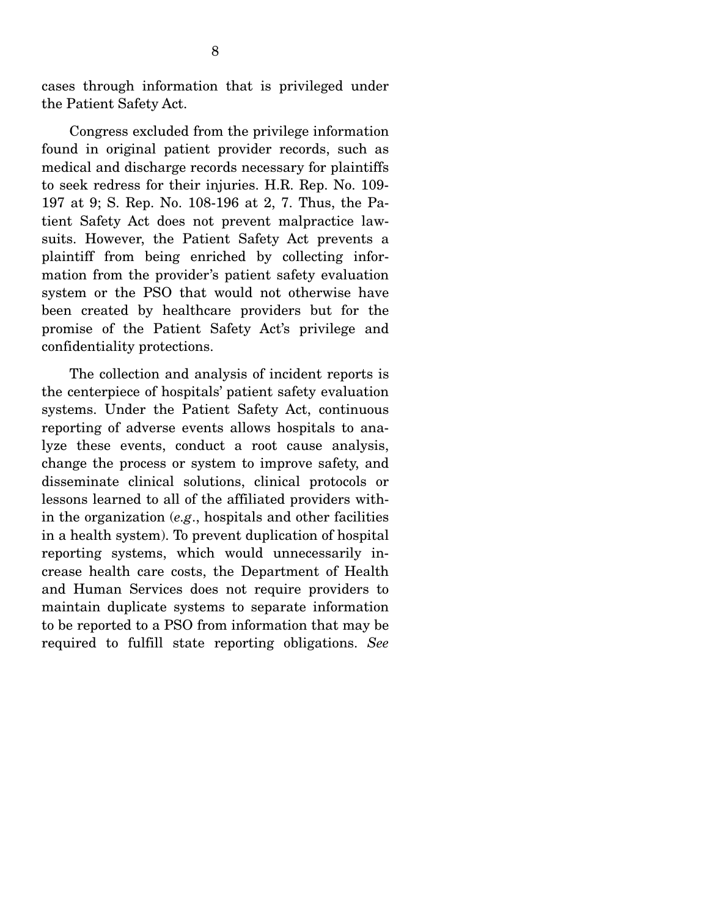cases through information that is privileged under the Patient Safety Act.

 Congress excluded from the privilege information found in original patient provider records, such as medical and discharge records necessary for plaintiffs to seek redress for their injuries. H.R. Rep. No. 109- 197 at 9; S. Rep. No. 108-196 at 2, 7. Thus, the Patient Safety Act does not prevent malpractice lawsuits. However, the Patient Safety Act prevents a plaintiff from being enriched by collecting information from the provider's patient safety evaluation system or the PSO that would not otherwise have been created by healthcare providers but for the promise of the Patient Safety Act's privilege and confidentiality protections.

 The collection and analysis of incident reports is the centerpiece of hospitals' patient safety evaluation systems. Under the Patient Safety Act, continuous reporting of adverse events allows hospitals to analyze these events, conduct a root cause analysis, change the process or system to improve safety, and disseminate clinical solutions, clinical protocols or lessons learned to all of the affiliated providers within the organization (*e.g*., hospitals and other facilities in a health system). To prevent duplication of hospital reporting systems, which would unnecessarily increase health care costs, the Department of Health and Human Services does not require providers to maintain duplicate systems to separate information to be reported to a PSO from information that may be required to fulfill state reporting obligations. *See*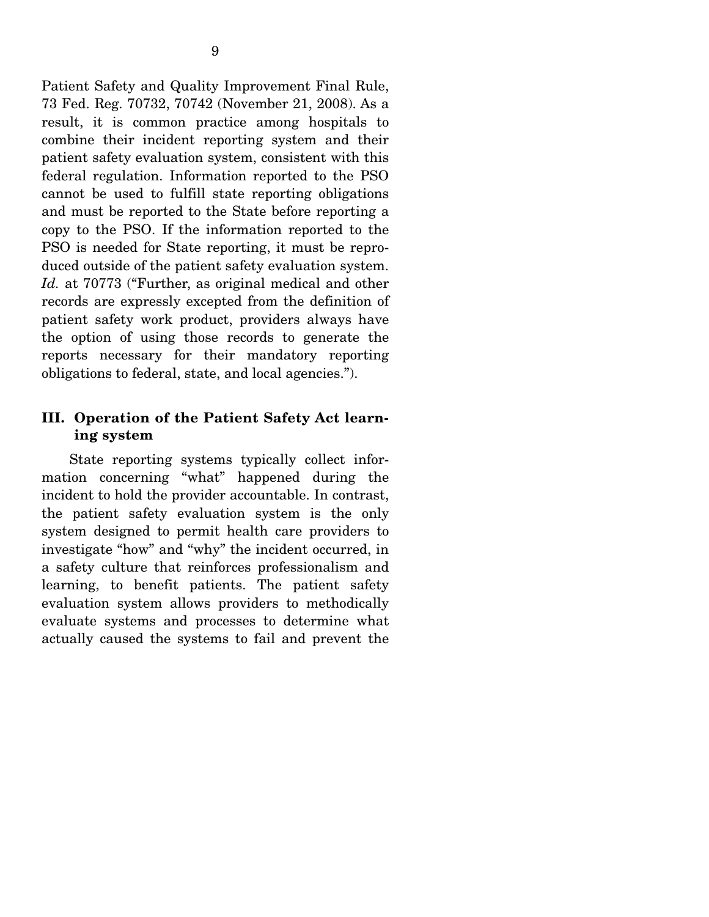Patient Safety and Quality Improvement Final Rule, 73 Fed. Reg. 70732, 70742 (November 21, 2008). As a result, it is common practice among hospitals to combine their incident reporting system and their patient safety evaluation system, consistent with this federal regulation. Information reported to the PSO cannot be used to fulfill state reporting obligations and must be reported to the State before reporting a copy to the PSO. If the information reported to the PSO is needed for State reporting, it must be reproduced outside of the patient safety evaluation system. *Id.* at 70773 ("Further, as original medical and other records are expressly excepted from the definition of patient safety work product, providers always have the option of using those records to generate the reports necessary for their mandatory reporting obligations to federal, state, and local agencies.").

### **III. Operation of the Patient Safety Act learning system**

 State reporting systems typically collect information concerning "what" happened during the incident to hold the provider accountable. In contrast, the patient safety evaluation system is the only system designed to permit health care providers to investigate "how" and "why" the incident occurred, in a safety culture that reinforces professionalism and learning, to benefit patients. The patient safety evaluation system allows providers to methodically evaluate systems and processes to determine what actually caused the systems to fail and prevent the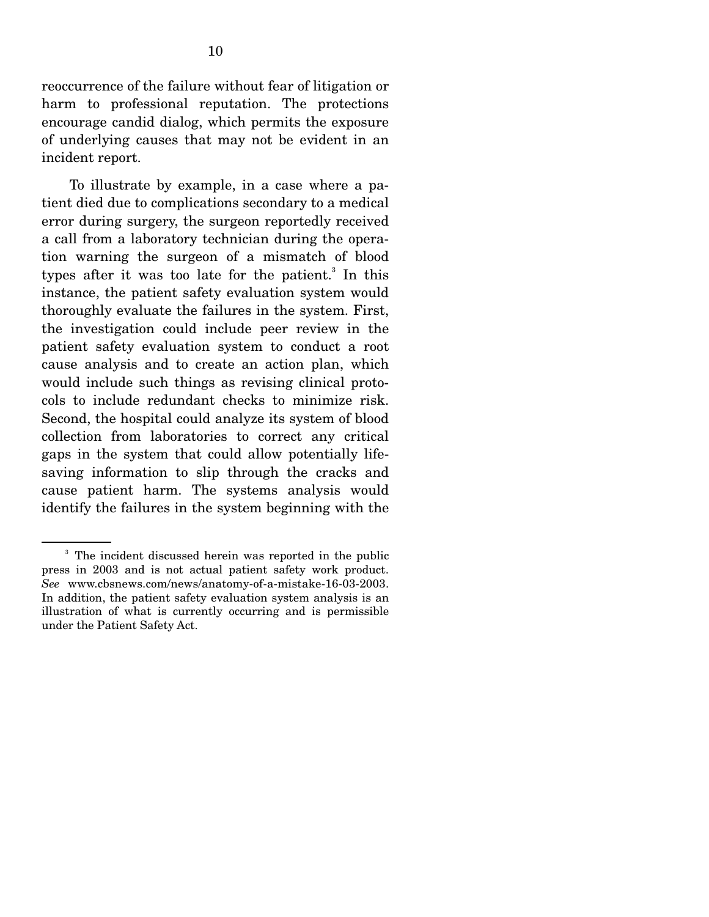reoccurrence of the failure without fear of litigation or harm to professional reputation. The protections encourage candid dialog, which permits the exposure of underlying causes that may not be evident in an incident report.

 To illustrate by example, in a case where a patient died due to complications secondary to a medical error during surgery, the surgeon reportedly received a call from a laboratory technician during the operation warning the surgeon of a mismatch of blood types after it was too late for the patient.<sup>3</sup> In this instance, the patient safety evaluation system would thoroughly evaluate the failures in the system. First, the investigation could include peer review in the patient safety evaluation system to conduct a root cause analysis and to create an action plan, which would include such things as revising clinical protocols to include redundant checks to minimize risk. Second, the hospital could analyze its system of blood collection from laboratories to correct any critical gaps in the system that could allow potentially lifesaving information to slip through the cracks and cause patient harm. The systems analysis would identify the failures in the system beginning with the

<sup>&</sup>lt;sup>3</sup> The incident discussed herein was reported in the public press in 2003 and is not actual patient safety work product. *See* www.cbsnews.com/news/anatomy-of-a-mistake-16-03-2003. In addition, the patient safety evaluation system analysis is an illustration of what is currently occurring and is permissible under the Patient Safety Act.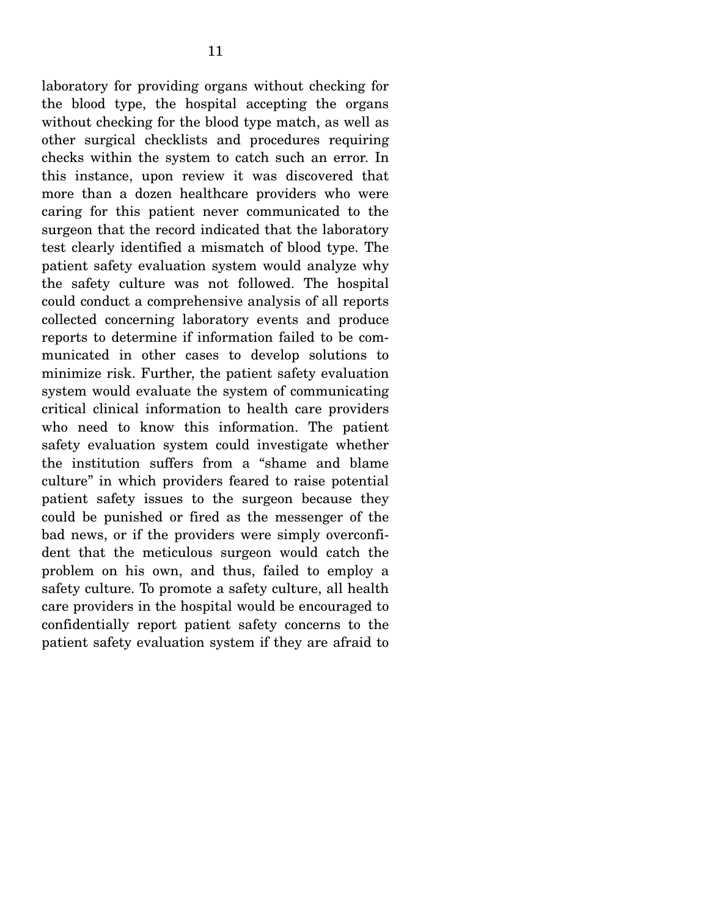laboratory for providing organs without checking for the blood type, the hospital accepting the organs without checking for the blood type match, as well as other surgical checklists and procedures requiring checks within the system to catch such an error. In this instance, upon review it was discovered that more than a dozen healthcare providers who were caring for this patient never communicated to the surgeon that the record indicated that the laboratory test clearly identified a mismatch of blood type. The patient safety evaluation system would analyze why the safety culture was not followed. The hospital could conduct a comprehensive analysis of all reports collected concerning laboratory events and produce reports to determine if information failed to be communicated in other cases to develop solutions to minimize risk. Further, the patient safety evaluation system would evaluate the system of communicating critical clinical information to health care providers who need to know this information. The patient safety evaluation system could investigate whether the institution suffers from a "shame and blame culture" in which providers feared to raise potential patient safety issues to the surgeon because they could be punished or fired as the messenger of the bad news, or if the providers were simply overconfident that the meticulous surgeon would catch the problem on his own, and thus, failed to employ a safety culture. To promote a safety culture, all health care providers in the hospital would be encouraged to confidentially report patient safety concerns to the patient safety evaluation system if they are afraid to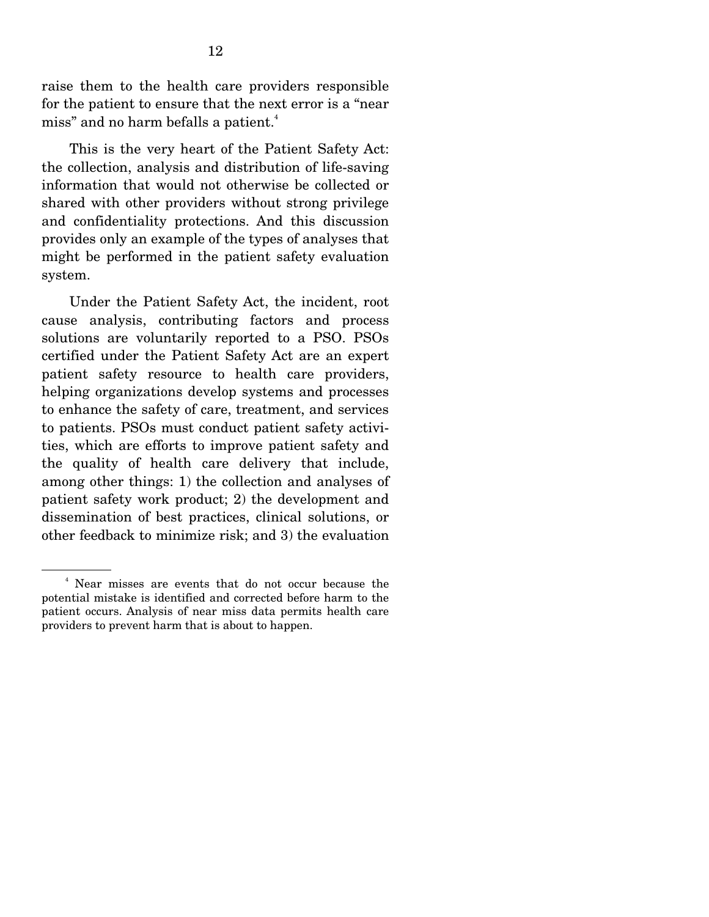raise them to the health care providers responsible for the patient to ensure that the next error is a "near miss" and no harm befalls a patient.<sup>4</sup>

 This is the very heart of the Patient Safety Act: the collection, analysis and distribution of life-saving information that would not otherwise be collected or shared with other providers without strong privilege and confidentiality protections. And this discussion provides only an example of the types of analyses that might be performed in the patient safety evaluation system.

 Under the Patient Safety Act, the incident, root cause analysis, contributing factors and process solutions are voluntarily reported to a PSO. PSOs certified under the Patient Safety Act are an expert patient safety resource to health care providers, helping organizations develop systems and processes to enhance the safety of care, treatment, and services to patients. PSOs must conduct patient safety activities, which are efforts to improve patient safety and the quality of health care delivery that include, among other things: 1) the collection and analyses of patient safety work product; 2) the development and dissemination of best practices, clinical solutions, or other feedback to minimize risk; and 3) the evaluation

<sup>4</sup> Near misses are events that do not occur because the potential mistake is identified and corrected before harm to the patient occurs. Analysis of near miss data permits health care providers to prevent harm that is about to happen.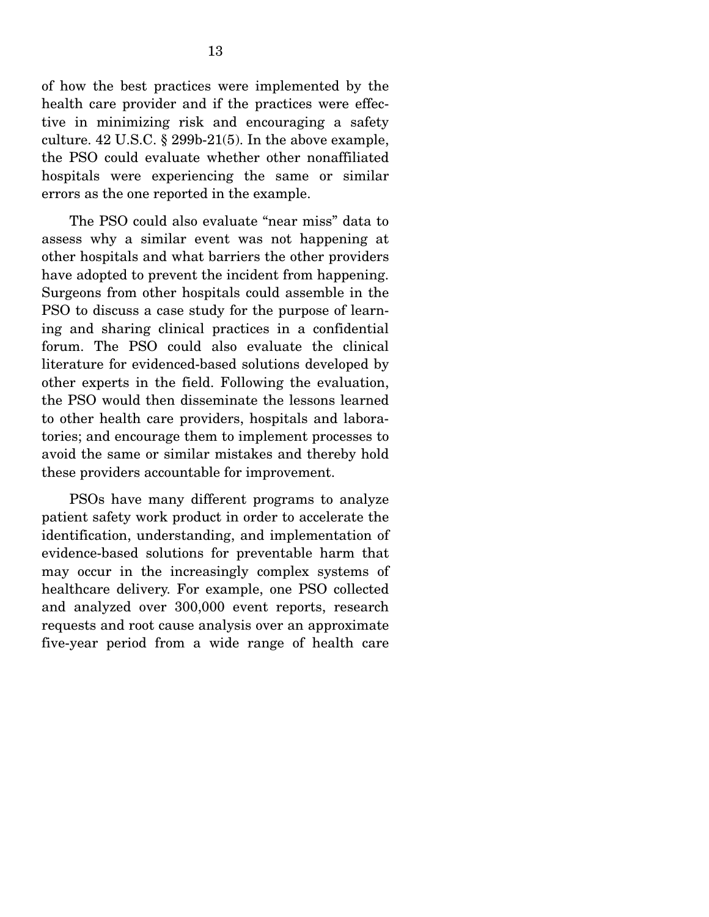of how the best practices were implemented by the health care provider and if the practices were effective in minimizing risk and encouraging a safety culture. 42 U.S.C. § 299b-21(5). In the above example, the PSO could evaluate whether other nonaffiliated hospitals were experiencing the same or similar errors as the one reported in the example.

 The PSO could also evaluate "near miss" data to assess why a similar event was not happening at other hospitals and what barriers the other providers have adopted to prevent the incident from happening. Surgeons from other hospitals could assemble in the PSO to discuss a case study for the purpose of learning and sharing clinical practices in a confidential forum. The PSO could also evaluate the clinical literature for evidenced-based solutions developed by other experts in the field. Following the evaluation, the PSO would then disseminate the lessons learned to other health care providers, hospitals and laboratories; and encourage them to implement processes to avoid the same or similar mistakes and thereby hold these providers accountable for improvement.

 PSOs have many different programs to analyze patient safety work product in order to accelerate the identification, understanding, and implementation of evidence-based solutions for preventable harm that may occur in the increasingly complex systems of healthcare delivery. For example, one PSO collected and analyzed over 300,000 event reports, research requests and root cause analysis over an approximate five-year period from a wide range of health care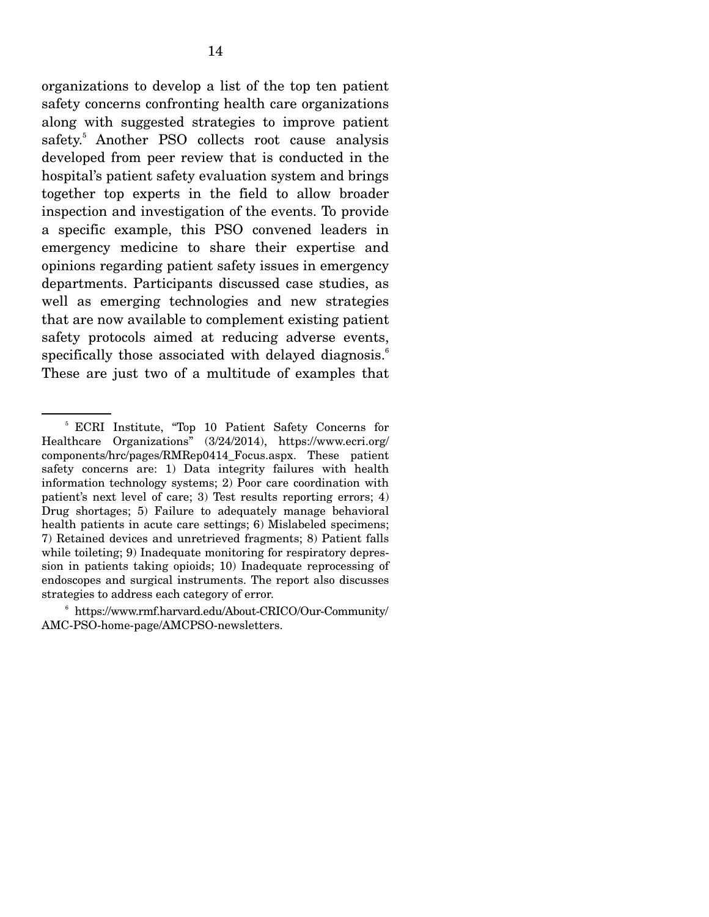organizations to develop a list of the top ten patient safety concerns confronting health care organizations along with suggested strategies to improve patient safety.<sup>5</sup> Another PSO collects root cause analysis developed from peer review that is conducted in the hospital's patient safety evaluation system and brings together top experts in the field to allow broader inspection and investigation of the events. To provide a specific example, this PSO convened leaders in emergency medicine to share their expertise and opinions regarding patient safety issues in emergency departments. Participants discussed case studies, as well as emerging technologies and new strategies that are now available to complement existing patient safety protocols aimed at reducing adverse events, specifically those associated with delayed diagnosis.<sup>6</sup> These are just two of a multitude of examples that

<sup>5</sup> ECRI Institute, "Top 10 Patient Safety Concerns for Healthcare Organizations" (3/24/2014), https://www.ecri.org/ components/hrc/pages/RMRep0414\_Focus.aspx. These patient safety concerns are: 1) Data integrity failures with health information technology systems; 2) Poor care coordination with patient's next level of care; 3) Test results reporting errors; 4) Drug shortages; 5) Failure to adequately manage behavioral health patients in acute care settings; 6) Mislabeled specimens; 7) Retained devices and unretrieved fragments; 8) Patient falls while toileting; 9) Inadequate monitoring for respiratory depression in patients taking opioids; 10) Inadequate reprocessing of endoscopes and surgical instruments. The report also discusses strategies to address each category of error.

<sup>6</sup> https://www.rmf.harvard.edu/About-CRICO/Our-Community/ AMC-PSO-home-page/AMCPSO-newsletters.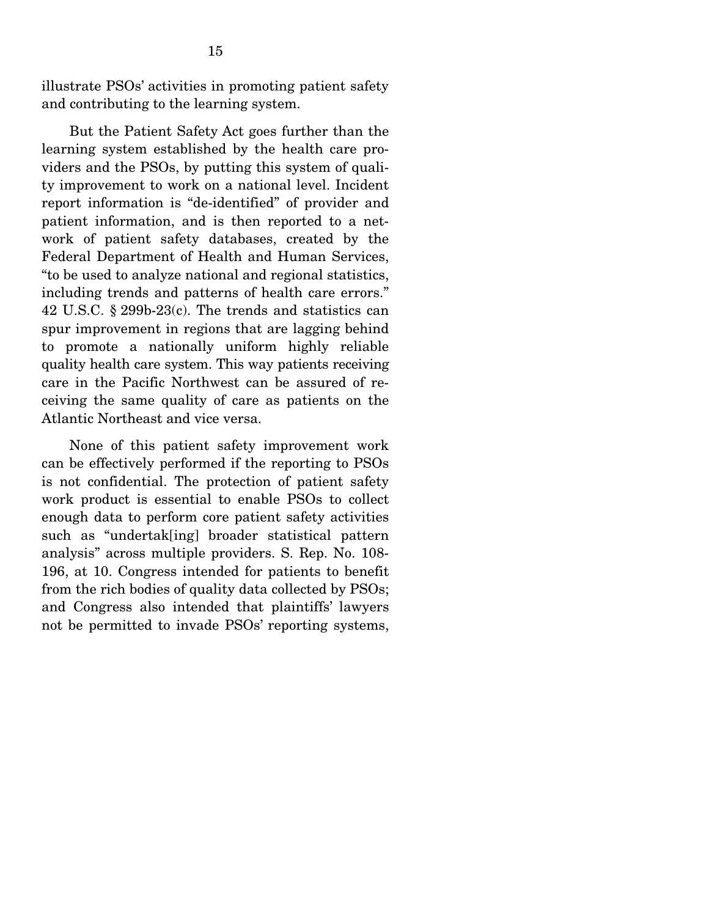illustrate PSOs' activities in promoting patient safety and contributing to the learning system.

 But the Patient Safety Act goes further than the learning system established by the health care providers and the PSOs, by putting this system of quality improvement to work on a national level. Incident report information is "de-identified" of provider and patient information, and is then reported to a network of patient safety databases, created by the Federal Department of Health and Human Services, "to be used to analyze national and regional statistics, including trends and patterns of health care errors." 42 U.S.C. § 299b-23(c). The trends and statistics can spur improvement in regions that are lagging behind to promote a nationally uniform highly reliable quality health care system. This way patients receiving care in the Pacific Northwest can be assured of receiving the same quality of care as patients on the Atlantic Northeast and vice versa.

 None of this patient safety improvement work can be effectively performed if the reporting to PSOs is not confidential. The protection of patient safety work product is essential to enable PSOs to collect enough data to perform core patient safety activities such as "undertak[ing] broader statistical pattern analysis" across multiple providers. S. Rep. No. 108- 196, at 10. Congress intended for patients to benefit from the rich bodies of quality data collected by PSOs; and Congress also intended that plaintiffs' lawyers not be permitted to invade PSOs' reporting systems,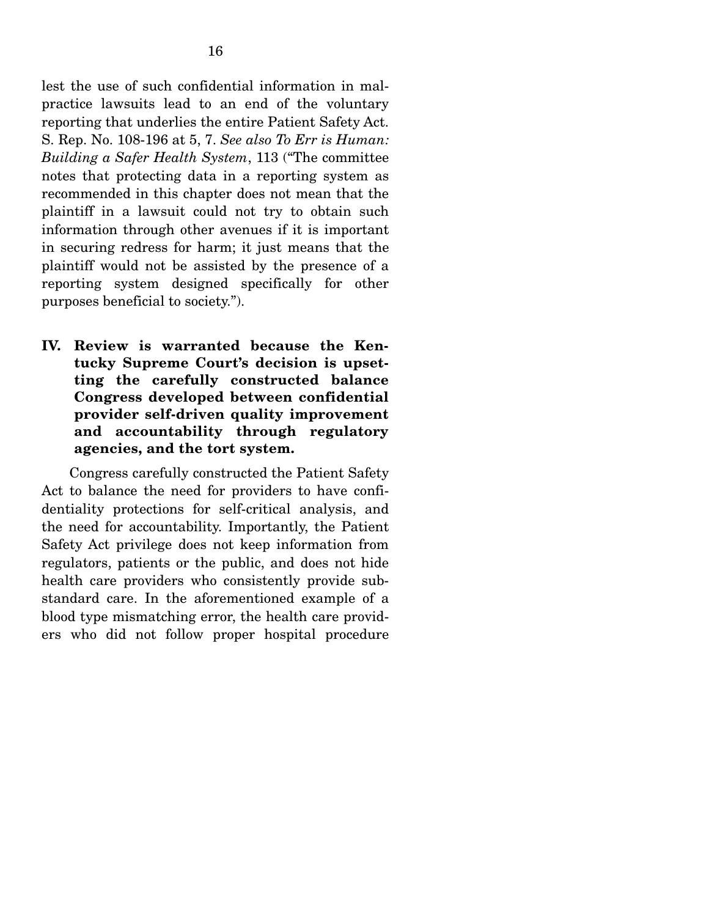lest the use of such confidential information in malpractice lawsuits lead to an end of the voluntary reporting that underlies the entire Patient Safety Act. S. Rep. No. 108-196 at 5, 7. *See also To Err is Human: Building a Safer Health System*, 113 ("The committee notes that protecting data in a reporting system as recommended in this chapter does not mean that the plaintiff in a lawsuit could not try to obtain such information through other avenues if it is important in securing redress for harm; it just means that the plaintiff would not be assisted by the presence of a reporting system designed specifically for other purposes beneficial to society.").

**IV. Review is warranted because the Kentucky Supreme Court's decision is upsetting the carefully constructed balance Congress developed between confidential provider self-driven quality improvement and accountability through regulatory agencies, and the tort system.** 

 Congress carefully constructed the Patient Safety Act to balance the need for providers to have confidentiality protections for self-critical analysis, and the need for accountability. Importantly, the Patient Safety Act privilege does not keep information from regulators, patients or the public, and does not hide health care providers who consistently provide substandard care. In the aforementioned example of a blood type mismatching error, the health care providers who did not follow proper hospital procedure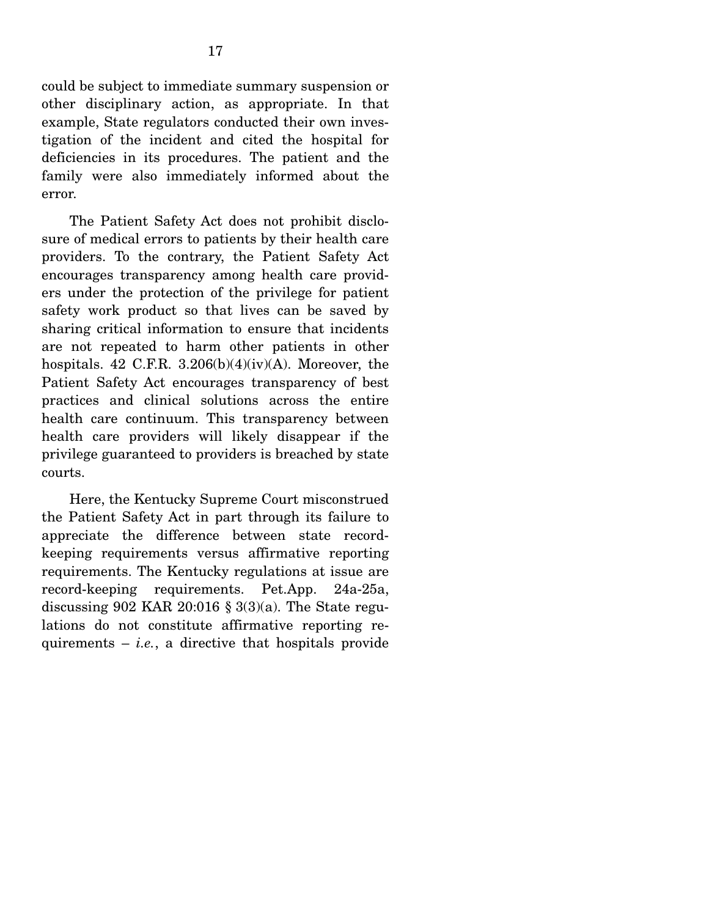could be subject to immediate summary suspension or other disciplinary action, as appropriate. In that example, State regulators conducted their own investigation of the incident and cited the hospital for deficiencies in its procedures. The patient and the family were also immediately informed about the error.

 The Patient Safety Act does not prohibit disclosure of medical errors to patients by their health care providers. To the contrary, the Patient Safety Act encourages transparency among health care providers under the protection of the privilege for patient safety work product so that lives can be saved by sharing critical information to ensure that incidents are not repeated to harm other patients in other hospitals. 42 C.F.R.  $3.206(b)(4)(iv)(A)$ . Moreover, the Patient Safety Act encourages transparency of best practices and clinical solutions across the entire health care continuum. This transparency between health care providers will likely disappear if the privilege guaranteed to providers is breached by state courts.

 Here, the Kentucky Supreme Court misconstrued the Patient Safety Act in part through its failure to appreciate the difference between state recordkeeping requirements versus affirmative reporting requirements. The Kentucky regulations at issue are record-keeping requirements. Pet.App. 24a-25a, discussing 902 KAR 20:016  $\S$  3(3)(a). The State regulations do not constitute affirmative reporting requirements  $-$  *i.e.*, a directive that hospitals provide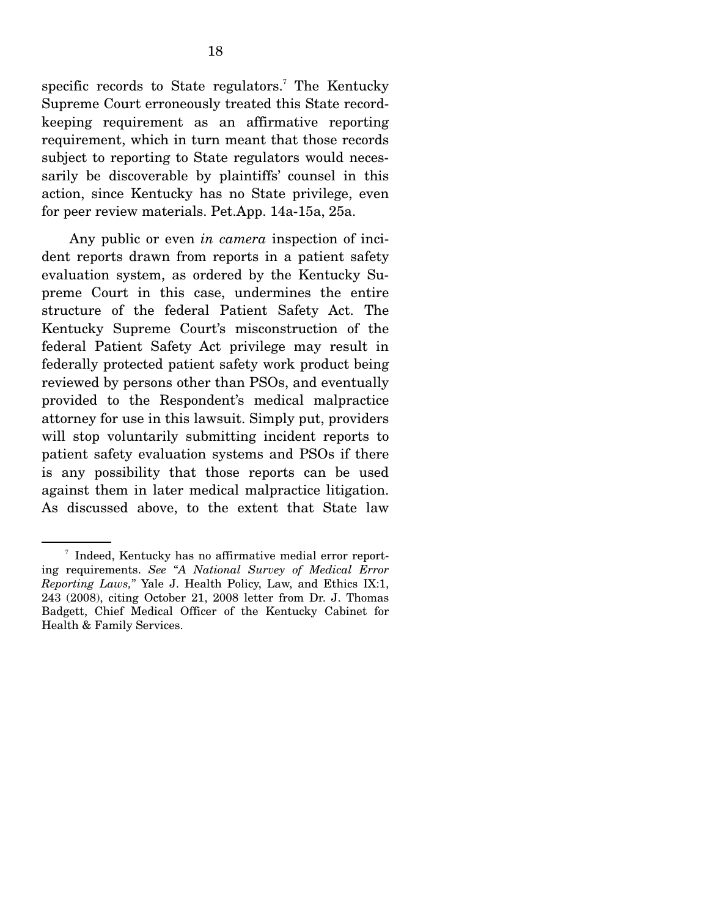specific records to State regulators.<sup>7</sup> The Kentucky Supreme Court erroneously treated this State recordkeeping requirement as an affirmative reporting requirement, which in turn meant that those records subject to reporting to State regulators would necessarily be discoverable by plaintiffs' counsel in this action, since Kentucky has no State privilege, even for peer review materials. Pet.App. 14a-15a, 25a.

 Any public or even *in camera* inspection of incident reports drawn from reports in a patient safety evaluation system, as ordered by the Kentucky Supreme Court in this case, undermines the entire structure of the federal Patient Safety Act. The Kentucky Supreme Court's misconstruction of the federal Patient Safety Act privilege may result in federally protected patient safety work product being reviewed by persons other than PSOs, and eventually provided to the Respondent's medical malpractice attorney for use in this lawsuit. Simply put, providers will stop voluntarily submitting incident reports to patient safety evaluation systems and PSOs if there is any possibility that those reports can be used against them in later medical malpractice litigation. As discussed above, to the extent that State law

<sup>7</sup> Indeed, Kentucky has no affirmative medial error reporting requirements. *See* "*A National Survey of Medical Error Reporting Laws,*" Yale J. Health Policy, Law, and Ethics IX:1, 243 (2008), citing October 21, 2008 letter from Dr. J. Thomas Badgett, Chief Medical Officer of the Kentucky Cabinet for Health & Family Services.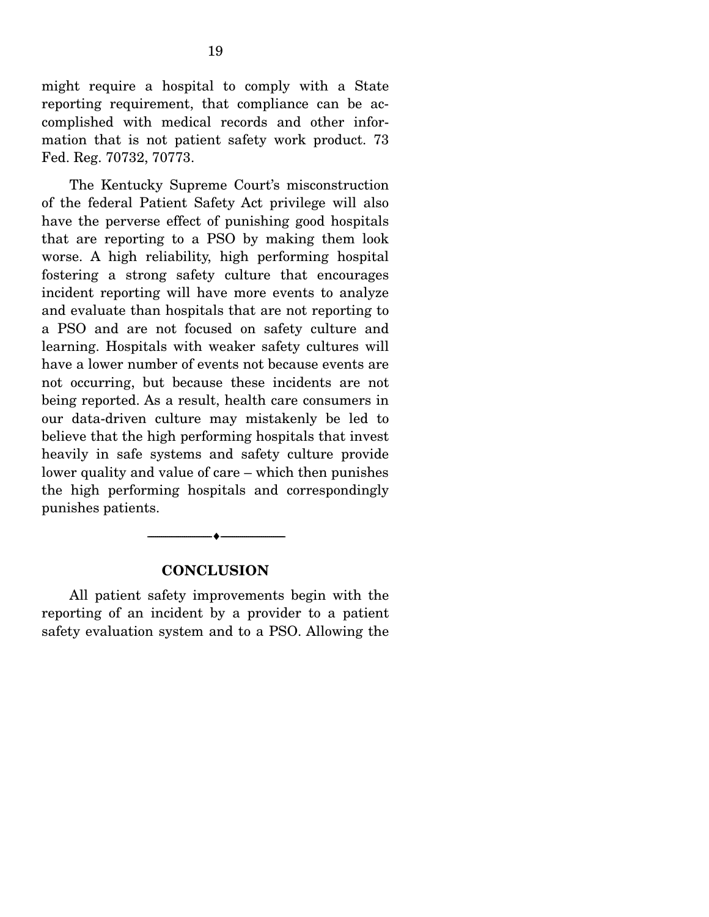might require a hospital to comply with a State reporting requirement, that compliance can be accomplished with medical records and other information that is not patient safety work product. 73 Fed. Reg. 70732, 70773.

 The Kentucky Supreme Court's misconstruction of the federal Patient Safety Act privilege will also have the perverse effect of punishing good hospitals that are reporting to a PSO by making them look worse. A high reliability, high performing hospital fostering a strong safety culture that encourages incident reporting will have more events to analyze and evaluate than hospitals that are not reporting to a PSO and are not focused on safety culture and learning. Hospitals with weaker safety cultures will have a lower number of events not because events are not occurring, but because these incidents are not being reported. As a result, health care consumers in our data-driven culture may mistakenly be led to believe that the high performing hospitals that invest heavily in safe systems and safety culture provide lower quality and value of care – which then punishes the high performing hospitals and correspondingly punishes patients.

#### **CONCLUSION**

--------------------------------- i ---------------------------------

 All patient safety improvements begin with the reporting of an incident by a provider to a patient safety evaluation system and to a PSO. Allowing the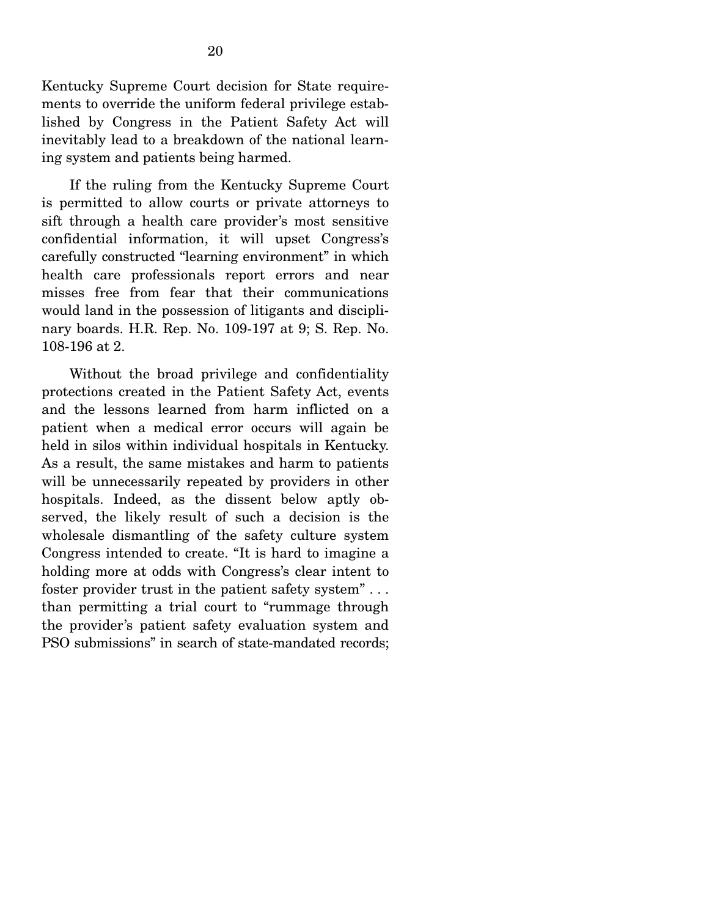Kentucky Supreme Court decision for State requirements to override the uniform federal privilege established by Congress in the Patient Safety Act will inevitably lead to a breakdown of the national learning system and patients being harmed.

 If the ruling from the Kentucky Supreme Court is permitted to allow courts or private attorneys to sift through a health care provider's most sensitive confidential information, it will upset Congress's carefully constructed "learning environment" in which health care professionals report errors and near misses free from fear that their communications would land in the possession of litigants and disciplinary boards. H.R. Rep. No. 109-197 at 9; S. Rep. No. 108-196 at 2.

 Without the broad privilege and confidentiality protections created in the Patient Safety Act, events and the lessons learned from harm inflicted on a patient when a medical error occurs will again be held in silos within individual hospitals in Kentucky. As a result, the same mistakes and harm to patients will be unnecessarily repeated by providers in other hospitals. Indeed, as the dissent below aptly observed, the likely result of such a decision is the wholesale dismantling of the safety culture system Congress intended to create. "It is hard to imagine a holding more at odds with Congress's clear intent to foster provider trust in the patient safety system" . . . than permitting a trial court to "rummage through the provider's patient safety evaluation system and PSO submissions" in search of state-mandated records;